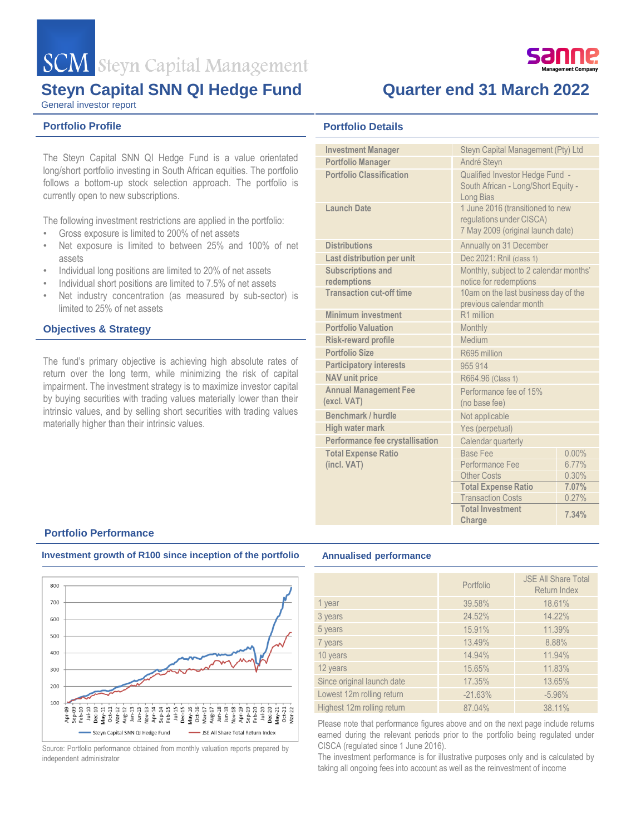

# **Steyn Capital SNN QI Hedge Fund Quarter end 31 March 2022**

General investor report

## **Portfolio Profile**

The Steyn Capital SNN QI Hedge Fund is a value orientated long/short portfolio investing in South African equities. The portfolio follows a bottom-up stock selection approach. The portfolio is currently open to new subscriptions.

The following investment restrictions are applied in the portfolio:

- Gross exposure is limited to 200% of net assets
- Net exposure is limited to between 25% and 100% of net assets
- Individual long positions are limited to 20% of net assets
- Individual short positions are limited to 7.5% of net assets
- Net industry concentration (as measured by sub-sector) is limited to 25% of net assets

# **Objectives & Strategy**

The fund's primary objective is achieving high absolute rates of return over the long term, while minimizing the risk of capital impairment. The investment strategy is to maximize investor capital by buying securities with trading values materially lower than their intrinsic values, and by selling short securities with trading values materially higher than their intrinsic values.

**Portfolio Details**

| André Steyn                                                                |                                                                                                                                                                                                                                                                                                                                                                                    |  |  |
|----------------------------------------------------------------------------|------------------------------------------------------------------------------------------------------------------------------------------------------------------------------------------------------------------------------------------------------------------------------------------------------------------------------------------------------------------------------------|--|--|
| Long Bias                                                                  |                                                                                                                                                                                                                                                                                                                                                                                    |  |  |
| regulations under CISCA)                                                   |                                                                                                                                                                                                                                                                                                                                                                                    |  |  |
| Annually on 31 December                                                    |                                                                                                                                                                                                                                                                                                                                                                                    |  |  |
| Dec 2021: Rnil (class 1)                                                   |                                                                                                                                                                                                                                                                                                                                                                                    |  |  |
| notice for redemptions                                                     |                                                                                                                                                                                                                                                                                                                                                                                    |  |  |
| previous calendar month                                                    |                                                                                                                                                                                                                                                                                                                                                                                    |  |  |
| R1 million                                                                 |                                                                                                                                                                                                                                                                                                                                                                                    |  |  |
| Monthly                                                                    |                                                                                                                                                                                                                                                                                                                                                                                    |  |  |
| Medium                                                                     |                                                                                                                                                                                                                                                                                                                                                                                    |  |  |
| R695 million                                                               |                                                                                                                                                                                                                                                                                                                                                                                    |  |  |
| 955914                                                                     |                                                                                                                                                                                                                                                                                                                                                                                    |  |  |
| <b>NAV</b> unit price<br>R664.96 (Class 1)<br><b>Annual Management Fee</b> |                                                                                                                                                                                                                                                                                                                                                                                    |  |  |
| Performance fee of 15%<br>(no base fee)                                    |                                                                                                                                                                                                                                                                                                                                                                                    |  |  |
| Not applicable                                                             |                                                                                                                                                                                                                                                                                                                                                                                    |  |  |
| Yes (perpetual)                                                            |                                                                                                                                                                                                                                                                                                                                                                                    |  |  |
| Calendar quarterly                                                         |                                                                                                                                                                                                                                                                                                                                                                                    |  |  |
| <b>Base Fee</b>                                                            | $0.00\%$                                                                                                                                                                                                                                                                                                                                                                           |  |  |
| Performance Fee                                                            | 6.77%                                                                                                                                                                                                                                                                                                                                                                              |  |  |
|                                                                            | 0.30%                                                                                                                                                                                                                                                                                                                                                                              |  |  |
|                                                                            | 7.07%                                                                                                                                                                                                                                                                                                                                                                              |  |  |
|                                                                            | 0.27%                                                                                                                                                                                                                                                                                                                                                                              |  |  |
| Charge                                                                     | 7.34%                                                                                                                                                                                                                                                                                                                                                                              |  |  |
|                                                                            | Steyn Capital Management (Pty) Ltd<br>Qualified Investor Hedge Fund -<br>South African - Long/Short Equity -<br>1 June 2016 (transitioned to new<br>7 May 2009 (original launch date)<br>Monthly, subject to 2 calendar months'<br>10am on the last business day of the<br><b>Other Costs</b><br><b>Total Expense Ratio</b><br><b>Transaction Costs</b><br><b>Total Investment</b> |  |  |

### **Portfolio Performance**

### **Investment growth of R100 since inception of the portfolio**



Source: Portfolio performance obtained from monthly valuation reports prepared by independent administrator

### **Annualised performance**

|                            | Portfolio | <b>JSE All Share Total</b><br>Return Index |
|----------------------------|-----------|--------------------------------------------|
| 1 year                     | 39.58%    | 18.61%                                     |
| 3 years                    | 24.52%    | 14.22%                                     |
| 5 years                    | 15.91%    | 11.39%                                     |
| 7 years                    | 13.49%    | 8.88%                                      |
| 10 years                   | 14.94%    | 11.94%                                     |
| 12 years                   | 15.65%    | 11.83%                                     |
| Since original launch date | 17.35%    | 13.65%                                     |
| Lowest 12m rolling return  | $-21.63%$ | $-5.96%$                                   |
| Highest 12m rolling return | 87.04%    | 38.11%                                     |

Please note that performance figures above and on the next page include returns earned during the relevant periods prior to the portfolio being regulated under CISCA (regulated since 1 June 2016).

The investment performance is for illustrative purposes only and is calculated by taking all ongoing fees into account as well as the reinvestment of income

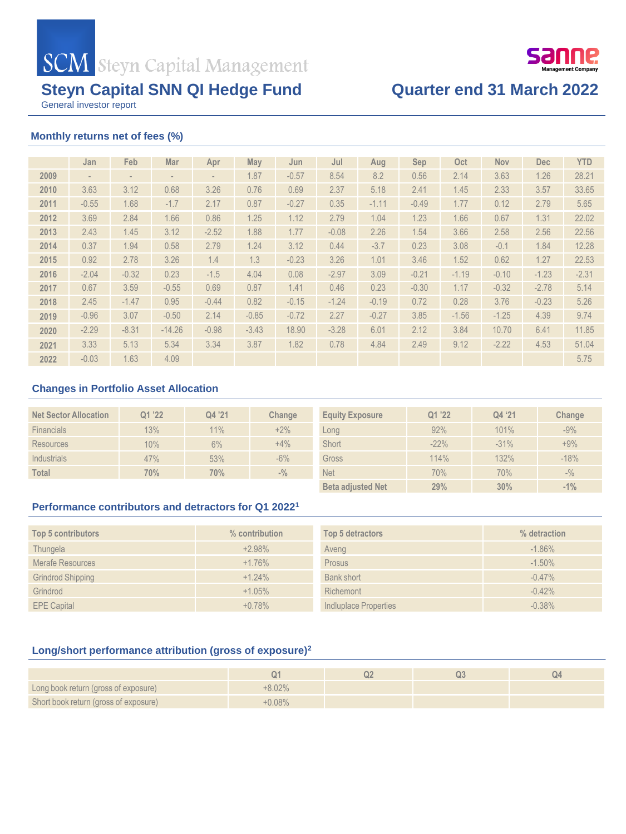

# **Steyn Capital SNN QI Hedge Fund Quarter end 31 March 2022**

General investor report

# **Monthly returns net of fees (%)**

|      | Jan     | Feb     | Mar      | Apr     | May     | Jun     | Jul     | Aug     | Sep     | Oct     | <b>Nov</b> | <b>Dec</b> | <b>YTD</b> |
|------|---------|---------|----------|---------|---------|---------|---------|---------|---------|---------|------------|------------|------------|
| 2009 |         |         |          | $\sim$  | 1.87    | $-0.57$ | 8.54    | 8.2     | 0.56    | 2.14    | 3.63       | 1.26       | 28.21      |
| 2010 | 3.63    | 3.12    | 0.68     | 3.26    | 0.76    | 0.69    | 2.37    | 5.18    | 2.41    | 1.45    | 2.33       | 3.57       | 33.65      |
| 2011 | $-0.55$ | 1.68    | $-1.7$   | 2.17    | 0.87    | $-0.27$ | 0.35    | $-1.11$ | $-0.49$ | 1.77    | 0.12       | 2.79       | 5.65       |
| 2012 | 3.69    | 2.84    | 1.66     | 0.86    | 1.25    | 1.12    | 2.79    | 1.04    | 1.23    | 1.66    | 0.67       | 1.31       | 22.02      |
| 2013 | 2.43    | 1.45    | 3.12     | $-2.52$ | 1.88    | 1.77    | $-0.08$ | 2.26    | 1.54    | 3.66    | 2.58       | 2.56       | 22.56      |
| 2014 | 0.37    | 1.94    | 0.58     | 2.79    | 1.24    | 3.12    | 0.44    | $-3.7$  | 0.23    | 3.08    | $-0.1$     | 1.84       | 12.28      |
| 2015 | 0.92    | 2.78    | 3.26     | 1.4     | 1.3     | $-0.23$ | 3.26    | 1.01    | 3.46    | 1.52    | 0.62       | 1.27       | 22.53      |
| 2016 | $-2.04$ | $-0.32$ | 0.23     | $-1.5$  | 4.04    | 0.08    | $-2.97$ | 3.09    | $-0.21$ | $-1.19$ | $-0.10$    | $-1.23$    | $-2.31$    |
| 2017 | 0.67    | 3.59    | $-0.55$  | 0.69    | 0.87    | 1.41    | 0.46    | 0.23    | $-0.30$ | 1.17    | $-0.32$    | $-2.78$    | 5.14       |
| 2018 | 2.45    | $-1.47$ | 0.95     | $-0.44$ | 0.82    | $-0.15$ | $-1.24$ | $-0.19$ | 0.72    | 0.28    | 3.76       | $-0.23$    | 5.26       |
| 2019 | $-0.96$ | 3.07    | $-0.50$  | 2.14    | $-0.85$ | $-0.72$ | 2.27    | $-0.27$ | 3.85    | $-1.56$ | $-1.25$    | 4.39       | 9.74       |
| 2020 | $-2.29$ | $-8.31$ | $-14.26$ | $-0.98$ | $-3.43$ | 18.90   | $-3.28$ | 6.01    | 2.12    | 3.84    | 10.70      | 6.41       | 11.85      |
| 2021 | 3.33    | 5.13    | 5.34     | 3.34    | 3.87    | 1.82    | 0.78    | 4.84    | 2.49    | 9.12    | $-2.22$    | 4.53       | 51.04      |
| 2022 | $-0.03$ | 1.63    | 4.09     |         |         |         |         |         |         |         |            |            | 5.75       |

# **Changes in Portfolio Asset Allocation**

| <b>Net Sector Allocation</b> | Q1'22 | Q4 '21 | Change          | <b>Equity Exposure</b>   | Q1'22  | Q4 '21 | Change          |
|------------------------------|-------|--------|-----------------|--------------------------|--------|--------|-----------------|
| <b>Financials</b>            | 13%   | 11%    | $+2%$           | Long                     | 92%    | 101%   | $-9%$           |
| <b>Resources</b>             | 10%   | 6%     | $+4%$           | Short                    | $-22%$ | $-31%$ | $+9%$           |
| Industrials                  | 47%   | 53%    | $-6%$           | Gross                    | 114%   | 132%   | $-18%$          |
| <b>Total</b>                 | 70%   | 70%    | $- \frac{0}{0}$ | <b>Net</b>               | 70%    | 70%    | $- \frac{0}{0}$ |
|                              |       |        |                 | <b>Beta adjusted Net</b> | 29%    | 30%    | $-1\%$          |

# **Performance contributors and detractors for Q1 2022<sup>1</sup>**

| Top 5 contributors       | $%$ contribution | Top 5 detractors      | % detraction |
|--------------------------|------------------|-----------------------|--------------|
| Thungela                 | $+2.98%$         | Aveng                 | $-1.86\%$    |
| Merafe Resources         | $+1.76\%$        | Prosus                | $-1.50\%$    |
| <b>Grindrod Shipping</b> | $+1.24%$         | Bank short            | $-0.47\%$    |
| Grindrod                 | $+1.05%$         | Richemont             | $-0.42%$     |
| <b>EPE Capital</b>       | $+0.78%$         | Indiuplace Properties | $-0.38%$     |

# **Long/short performance attribution (gross of exposure)<sup>2</sup>**

|                                       |          | Q2 | Q3 |  |
|---------------------------------------|----------|----|----|--|
| Long book return (gross of exposure)  | $+8.02%$ |    |    |  |
| Short book return (gross of exposure) | $+0.08%$ |    |    |  |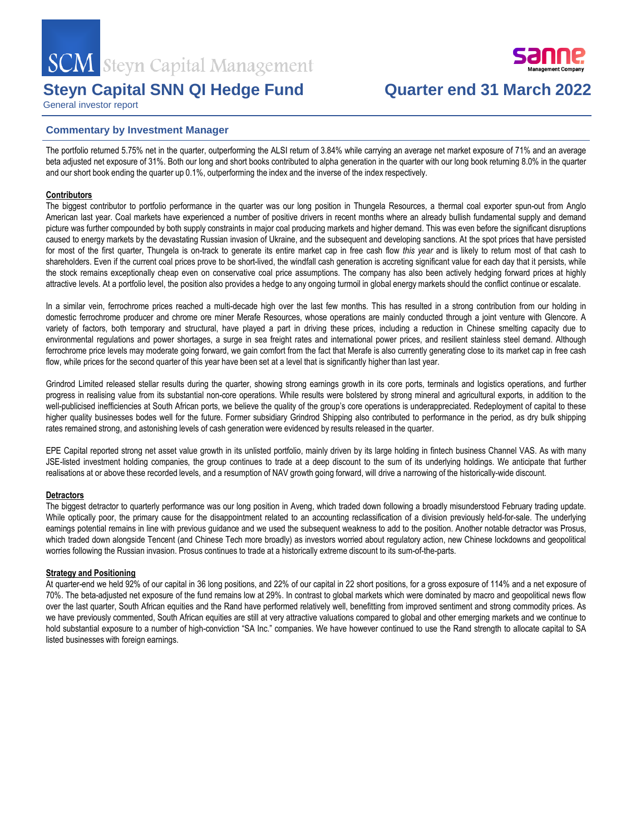

# **Steyn Capital SNN QI Hedge Fund Cuarter end 31 March 2022**

General investor report

### **Commentary by Investment Manager**

The portfolio returned 5.75% net in the quarter, outperforming the ALSI return of 3.84% while carrying an average net market exposure of 71% and an average beta adjusted net exposure of 31%. Both our long and short books contributed to alpha generation in the quarter with our long book returning 8.0% in the quarter and our short book ending the quarter up 0.1%, outperforming the index and the inverse of the index respectively.

### **Contributors**

The biggest contributor to portfolio performance in the quarter was our long position in Thungela Resources, a thermal coal exporter spun-out from Anglo American last year. Coal markets have experienced a number of positive drivers in recent months where an already bullish fundamental supply and demand picture was further compounded by both supply constraints in major coal producing markets and higher demand. This was even before the significant disruptions caused to energy markets by the devastating Russian invasion of Ukraine, and the subsequent and developing sanctions. At the spot prices that have persisted for most of the first quarter, Thungela is on-track to generate its entire market cap in free cash flow *this year* and is likely to return most of that cash to shareholders. Even if the current coal prices prove to be short-lived, the windfall cash generation is accreting significant value for each day that it persists, while the stock remains exceptionally cheap even on conservative coal price assumptions. The company has also been actively hedging forward prices at highly attractive levels. At a portfolio level, the position also provides a hedge to any ongoing turmoil in global energy markets should the conflict continue or escalate.

In a similar vein, ferrochrome prices reached a multi-decade high over the last few months. This has resulted in a strong contribution from our holding in domestic ferrochrome producer and chrome ore miner Merafe Resources, whose operations are mainly conducted through a joint venture with Glencore. A variety of factors, both temporary and structural, have played a part in driving these prices, including a reduction in Chinese smelting capacity due to environmental regulations and power shortages, a surge in sea freight rates and international power prices, and resilient stainless steel demand. Although ferrochrome price levels may moderate going forward, we gain comfort from the fact that Merafe is also currently generating close to its market cap in free cash flow, while prices for the second quarter of this year have been set at a level that is significantly higher than last year.

Grindrod Limited released stellar results during the quarter, showing strong earnings growth in its core ports, terminals and logistics operations, and further progress in realising value from its substantial non-core operations. While results were bolstered by strong mineral and agricultural exports, in addition to the well-publicised inefficiencies at South African ports, we believe the quality of the group's core operations is underappreciated. Redeployment of capital to these higher quality businesses bodes well for the future. Former subsidiary Grindrod Shipping also contributed to performance in the period, as dry bulk shipping rates remained strong, and astonishing levels of cash generation were evidenced by results released in the quarter.

EPE Capital reported strong net asset value growth in its unlisted portfolio, mainly driven by its large holding in fintech business Channel VAS. As with many JSE-listed investment holding companies, the group continues to trade at a deep discount to the sum of its underlying holdings. We anticipate that further realisations at or above these recorded levels, and a resumption of NAV growth going forward, will drive a narrowing of the historically-wide discount.

#### **Detractors**

The biggest detractor to quarterly performance was our long position in Aveng, which traded down following a broadly misunderstood February trading update. While optically poor, the primary cause for the disappointment related to an accounting reclassification of a division previously held-for-sale. The underlying earnings potential remains in line with previous quidance and we used the subsequent weakness to add to the position. Another notable detractor was Prosus, which traded down alongside Tencent (and Chinese Tech more broadly) as investors worried about regulatory action, new Chinese lockdowns and geopolitical worries following the Russian invasion. Prosus continues to trade at a historically extreme discount to its sum-of-the-parts.

#### **Strategy and Positioning**

At quarter-end we held 92% of our capital in 36 long positions, and 22% of our capital in 22 short positions, for a gross exposure of 114% and a net exposure of 70%. The beta-adjusted net exposure of the fund remains low at 29%. In contrast to global markets which were dominated by macro and geopolitical news flow over the last quarter, South African equities and the Rand have performed relatively well, benefitting from improved sentiment and strong commodity prices. As we have previously commented, South African equities are still at very attractive valuations compared to global and other emerging markets and we continue to hold substantial exposure to a number of high-conviction "SA Inc." companies. We have however continued to use the Rand strength to allocate capital to SA listed businesses with foreign earnings.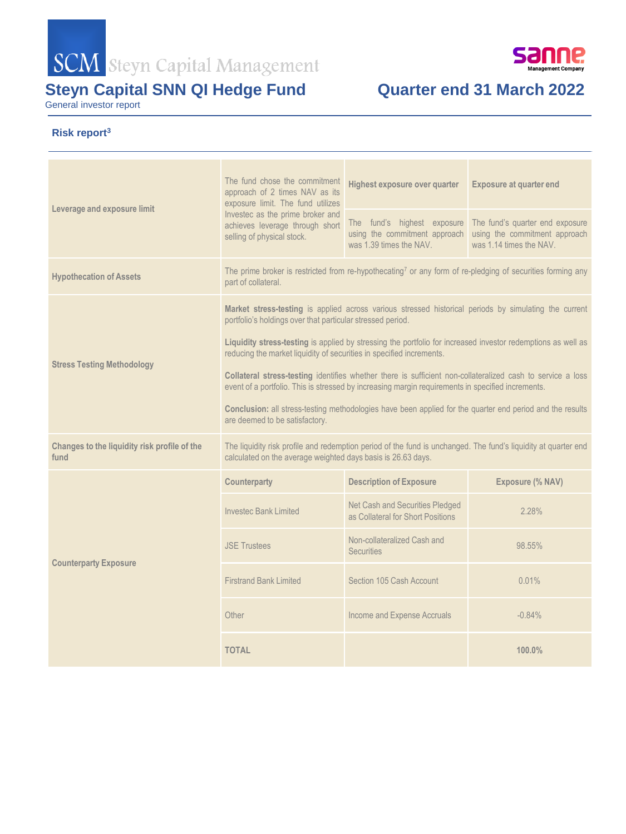

# **Steyn Capital SNN QI Hedge Fund Cuarter end 31 March 2022**

General investor report

# **Risk report<sup>3</sup>**

|                                                      | The fund chose the commitment<br>approach of 2 times NAV as its<br>exposure limit. The fund utilizes                                                                                                                                                                                                                                                                                                                                                                                                                                                                                                                                                                                                                                 | Highest exposure over quarter                                                           | <b>Exposure at quarter end</b>                                                              |  |  |  |  |
|------------------------------------------------------|--------------------------------------------------------------------------------------------------------------------------------------------------------------------------------------------------------------------------------------------------------------------------------------------------------------------------------------------------------------------------------------------------------------------------------------------------------------------------------------------------------------------------------------------------------------------------------------------------------------------------------------------------------------------------------------------------------------------------------------|-----------------------------------------------------------------------------------------|---------------------------------------------------------------------------------------------|--|--|--|--|
| Leverage and exposure limit                          | Investec as the prime broker and<br>achieves leverage through short<br>selling of physical stock.                                                                                                                                                                                                                                                                                                                                                                                                                                                                                                                                                                                                                                    | The fund's highest exposure<br>using the commitment approach<br>was 1.39 times the NAV. | The fund's quarter end exposure<br>using the commitment approach<br>was 1.14 times the NAV. |  |  |  |  |
| <b>Hypothecation of Assets</b>                       | The prime broker is restricted from re-hypothecating <sup>7</sup> or any form of re-pledging of securities forming any<br>part of collateral.                                                                                                                                                                                                                                                                                                                                                                                                                                                                                                                                                                                        |                                                                                         |                                                                                             |  |  |  |  |
| <b>Stress Testing Methodology</b>                    | Market stress-testing is applied across various stressed historical periods by simulating the current<br>portfolio's holdings over that particular stressed period.<br>Liquidity stress-testing is applied by stressing the portfolio for increased investor redemptions as well as<br>reducing the market liquidity of securities in specified increments.<br>Collateral stress-testing identifies whether there is sufficient non-collateralized cash to service a loss<br>event of a portfolio. This is stressed by increasing margin requirements in specified increments.<br><b>Conclusion:</b> all stress-testing methodologies have been applied for the quarter end period and the results<br>are deemed to be satisfactory. |                                                                                         |                                                                                             |  |  |  |  |
| Changes to the liquidity risk profile of the<br>fund | The liquidity risk profile and redemption period of the fund is unchanged. The fund's liquidity at quarter end<br>calculated on the average weighted days basis is 26.63 days.                                                                                                                                                                                                                                                                                                                                                                                                                                                                                                                                                       |                                                                                         |                                                                                             |  |  |  |  |
|                                                      | Counterparty                                                                                                                                                                                                                                                                                                                                                                                                                                                                                                                                                                                                                                                                                                                         | <b>Description of Exposure</b>                                                          | Exposure (% NAV)                                                                            |  |  |  |  |
|                                                      | <b>Investec Bank Limited</b>                                                                                                                                                                                                                                                                                                                                                                                                                                                                                                                                                                                                                                                                                                         | Net Cash and Securities Pledged<br>as Collateral for Short Positions                    | 2.28%                                                                                       |  |  |  |  |
| <b>Counterparty Exposure</b>                         | <b>JSE Trustees</b>                                                                                                                                                                                                                                                                                                                                                                                                                                                                                                                                                                                                                                                                                                                  | Non-collateralized Cash and<br><b>Securities</b>                                        | 98.55%                                                                                      |  |  |  |  |
|                                                      | <b>Firstrand Bank Limited</b>                                                                                                                                                                                                                                                                                                                                                                                                                                                                                                                                                                                                                                                                                                        | Section 105 Cash Account                                                                | 0.01%                                                                                       |  |  |  |  |
|                                                      | Other                                                                                                                                                                                                                                                                                                                                                                                                                                                                                                                                                                                                                                                                                                                                | Income and Expense Accruals                                                             | $-0.84%$                                                                                    |  |  |  |  |
|                                                      | <b>TOTAL</b>                                                                                                                                                                                                                                                                                                                                                                                                                                                                                                                                                                                                                                                                                                                         |                                                                                         | 100.0%                                                                                      |  |  |  |  |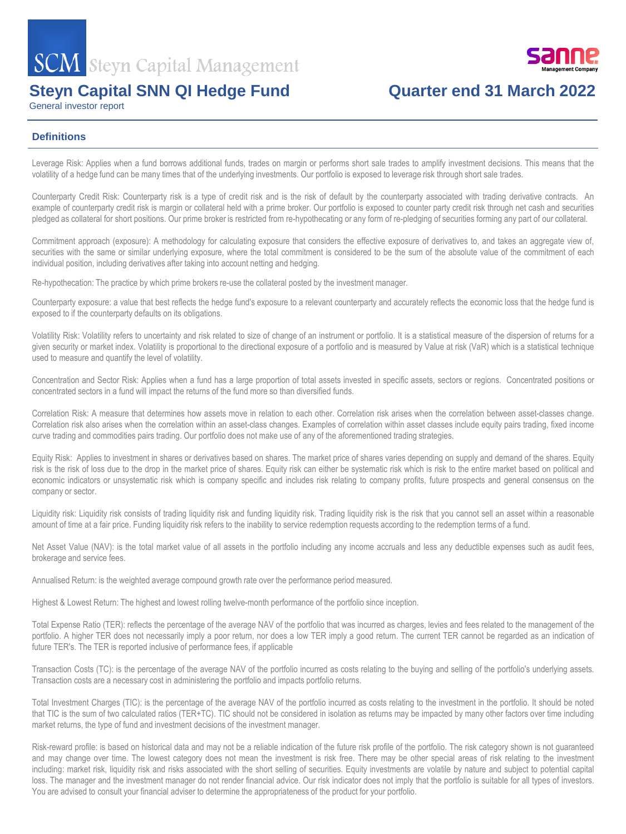

# **Steyn Capital SNN QI Hedge Fund Quarter end 31 March 2022**

General investor report

# **Definitions**

Leverage Risk: Applies when a fund borrows additional funds, trades on margin or performs short sale trades to amplify investment decisions. This means that the volatility of a hedge fund can be many times that of the underlying investments. Our portfolio is exposed to leverage risk through short sale trades.

Counterparty Credit Risk: Counterparty risk is a type of credit risk and is the risk of default by the counterparty associated with trading derivative contracts. An example of counterparty credit risk is margin or collateral held with a prime broker. Our portfolio is exposed to counter party credit risk through net cash and securities pledged as collateral for short positions. Our prime broker is restricted from re-hypothecating or any form of re-pledging of securities forming any part of our collateral.

Commitment approach (exposure): A methodology for calculating exposure that considers the effective exposure of derivatives to, and takes an aggregate view of, securities with the same or similar underlying exposure, where the total commitment is considered to be the sum of the absolute value of the commitment of each individual position, including derivatives after taking into account netting and hedging.

Re-hypothecation: The practice by which prime brokers re-use the collateral posted by the investment manager.

Counterparty exposure: a value that best reflects the hedge fund's exposure to a relevant counterparty and accurately reflects the economic loss that the hedge fund is exposed to if the counterparty defaults on its obligations.

Volatility Risk: Volatility refers to uncertainty and risk related to size of change of an instrument or portfolio. It is a statistical measure of the dispersion of returns for a given security or market index. Volatility is proportional to the directional exposure of a portfolio and is measured by Value at risk (VaR) which is a statistical technique used to measure and quantify the level of volatility.

Concentration and Sector Risk: Applies when a fund has a large proportion of total assets invested in specific assets, sectors or regions. Concentrated positions or concentrated sectors in a fund will impact the returns of the fund more so than diversified funds.

Correlation Risk: A measure that determines how assets move in relation to each other. Correlation risk arises when the correlation between asset-classes change. Correlation risk also arises when the correlation within an asset-class changes. Examples of correlation within asset classes include equity pairs trading, fixed income curve trading and commodities pairs trading. Our portfolio does not make use of any of the aforementioned trading strategies.

Equity Risk: Applies to investment in shares or derivatives based on shares. The market price of shares varies depending on supply and demand of the shares. Equity risk is the risk of loss due to the drop in the market price of shares. Equity risk can either be systematic risk which is risk to the entire market based on political and economic indicators or unsystematic risk which is company specific and includes risk relating to company profits, future prospects and general consensus on the company or sector.

Liquidity risk: Liquidity risk consists of trading liquidity risk and funding liquidity risk. Trading liquidity risk is the risk that you cannot sell an asset within a reasonable amount of time at a fair price. Funding liquidity risk refers to the inability to service redemption requests according to the redemption terms of a fund.

Net Asset Value (NAV): is the total market value of all assets in the portfolio including any income accruals and less any deductible expenses such as audit fees, brokerage and service fees.

Annualised Return: is the weighted average compound growth rate over the performance period measured.

Highest & Lowest Return: The highest and lowest rolling twelve-month performance of the portfolio since inception.

Total Expense Ratio (TER): reflects the percentage of the average NAV of the portfolio that was incurred as charges, levies and fees related to the management of the portfolio. A higher TER does not necessarily imply a poor return, nor does a low TER imply a good return. The current TER cannot be regarded as an indication of future TER's. The TER is reported inclusive of performance fees, if applicable

Transaction Costs (TC): is the percentage of the average NAV of the portfolio incurred as costs relating to the buying and selling of the portfolio's underlying assets. Transaction costs are a necessary cost in administering the portfolio and impacts portfolio returns.

Total Investment Charges (TIC): is the percentage of the average NAV of the portfolio incurred as costs relating to the investment in the portfolio. It should be noted that TIC is the sum of two calculated ratios (TER+TC). TIC should not be considered in isolation as returns may be impacted by many other factors over time including market returns, the type of fund and investment decisions of the investment manager.

Risk-reward profile: is based on historical data and may not be a reliable indication of the future risk profile of the portfolio. The risk category shown is not guaranteed and may change over time. The lowest category does not mean the investment is risk free. There may be other special areas of risk relating to the investment including: market risk, liquidity risk and risks associated with the short selling of securities. Equity investments are volatile by nature and subject to potential capital loss. The manager and the investment manager do not render financial advice. Our risk indicator does not imply that the portfolio is suitable for all types of investors. You are advised to consult your financial adviser to determine the appropriateness of the product for your portfolio.